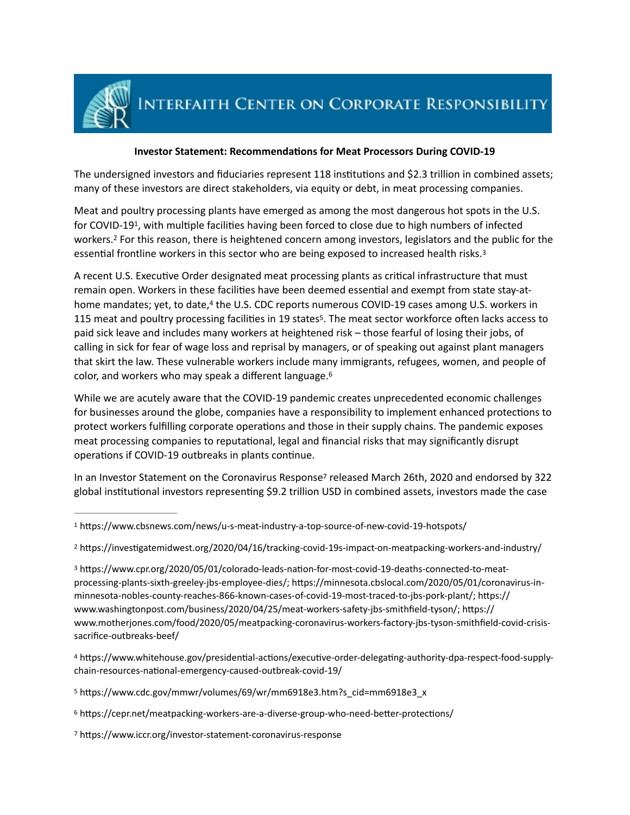

## <span id="page-0-9"></span>**Investor Statement: Recommendations for Meat Processors During COVID-19**

The undersigned investors and fiduciaries represent 118 institutions and \$2.3 trillion in combined assets; many of these investors are direct stakeholders, via equity or debt, in meat processing companies.

<span id="page-0-8"></span><span id="page-0-7"></span>Meat and poultry processing plants have emerged as among the most dangerous hot spots in the U.S. for COVID-[1](#page-0-0)9<sup>1</sup>, with multiple facilities having been forced to close due to high numbers of infected workers.<sup>[2](#page-0-1)</sup> For this reason, there is heightened concern among investors, legislators and the public for the essential frontline workers in this sector who are being exposed to increased health risks.<sup>[3](#page-0-2)</sup>

<span id="page-0-11"></span><span id="page-0-10"></span>A recent U.S. Executive Order designated meat processing plants as critical infrastructure that must remain open. Workers in these facilities have been deemed essential and exempt from state stay-at-home mandates; yet, to date,<sup>[4](#page-0-3)</sup> the U.S. CDC reports numerous COVID-19 cases among U.S. workers in 11[5](#page-0-4) meat and poultry processing facilities in 19 states<sup>5</sup>. The meat sector workforce often lacks access to paid sick leave and includes many workers at heightened risk – those fearful of losing their jobs, of calling in sick for fear of wage loss and reprisal by managers, or of speaking out against plant managers that skirt the law. These vulnerable workers include many immigrants, refugees, women, and people of color, and workers who may speak a different language[.6](#page-0-5)

<span id="page-0-12"></span>While we are acutely aware that the COVID-19 pandemic creates unprecedented economic challenges for businesses around the globe, companies have a responsibility to implement enhanced protections to protect workers fulfilling corporate operations and those in their supply chains. The pandemic exposes meat processing companies to reputational, legal and financial risks that may significantly disrupt operations if COVID-19 outbreaks in plants continue.

<span id="page-0-13"></span>In an Investor Statement on th[e](#page-0-6) Coronavirus Response<sup>[7](#page-0-6)</sup> released March 26th, 2020 and endorsed by 322 global institutional investors representing \$9.2 trillion USD in combined assets, investors made the case

<span id="page-0-6"></span>[7](#page-0-13) https://www.iccr.org/investor-statement-coronavirus-response

<span id="page-0-0"></span><sup>&</sup>lt;sup>[1](#page-0-7)</sup> https://www.cbsnews.com/news/u-s-meat-industry-a-top-source-of-new-covid-19-hotspots/

<span id="page-0-1"></span><sup>&</sup>lt;sup>[2](#page-0-8)</sup> https://investigatemidwest.org/2020/04/16/tracking-covid-19s-impact-on-meatpacking-workers-and-industry/

<span id="page-0-2"></span><sup>&</sup>lt;sup>[3](#page-0-9)</sup> https://www.cpr.org/2020/05/01/colorado-leads-nation-for-most-covid-19-deaths-connected-to-meatprocessing-plants-sixth-greeley-jbs-employee-dies/; https://minnesota.cbslocal.com/2020/05/01/coronavirus-in[minnesota-nobles-county-reaches-866-known-cases-of-covid-19-most-traced-to-jbs-pork-plant/;](https://minnesota.cbslocal.com/2020/05/01/coronavirus-in-minnesota-nobles-county-reaches-866-known-cases-of-covid-19-most-traced-to-jbs-pork-plant/) https:// [www.washingtonpost.com/business/2020/04/25/meat-workers-safety-jbs-smithfield-tyson/;](https://www.washingtonpost.com/business/2020/04/25/meat-workers-safety-jbs-smithfield-tyson/) https:// [www.motherjones.com/food/2020/05/meatpacking-coronavirus-workers-factory-jbs-tyson-smithfield-covid-crisis](https://www.motherjones.com/food/2020/05/meatpacking-coronavirus-workers-factory-jbs-tyson-smithfield-covid-crisis-sacrifice-outbreaks-beef/)[sacrifice-outbreaks-beef/](https://www.motherjones.com/food/2020/05/meatpacking-coronavirus-workers-factory-jbs-tyson-smithfield-covid-crisis-sacrifice-outbreaks-beef/)

<span id="page-0-3"></span>[<sup>4</sup>](#page-0-10) https://www.whitehouse.gov/presidential-actions/executive-order-delegating-authority-dpa-respect-food-supplychain-resources-national-emergency-caused-outbreak-covid-19/

<span id="page-0-4"></span>[<sup>5</sup>](#page-0-11) https://www.cdc.gov/mmwr/volumes/69/wr/mm6918e3.htm?s\_cid=mm6918e3\_x

<span id="page-0-5"></span> $6$  https://cepr.net/meatpacking-workers-are-a-diverse-group-who-need-better-protections/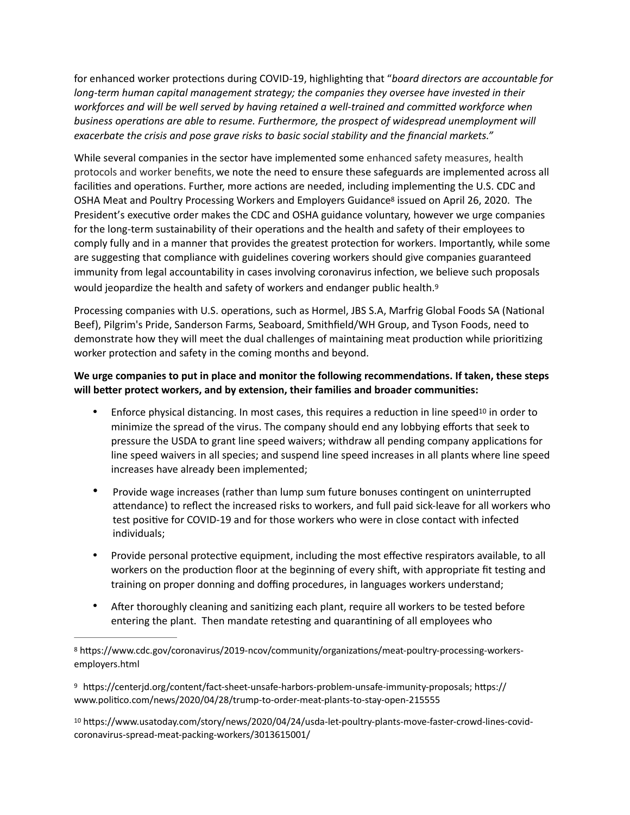for enhanced worker protections during COVID-19, highlighting that "board directors are accountable for *long-term human capital management strategy; the companies they oversee have invested in their*  workforces and will be well served by having retained a well-trained and committed workforce when business operations are able to resume. Furthermore, the prospect of widespread unemployment will *exacerbate the crisis and pose grave risks to basic social stability and the financial markets."* 

<span id="page-1-3"></span>While several companies in the sector have implemented some enhanced safety measures, health protocols and worker benefits, we note the need to ensure these safeguards are implemented across all facilities and operations. Further, more actions are needed, including implementing the U.S. CDC and [OSHA Meat and Poultry Processing Workers and Employers Guidance](https://www.cdc.gov/coronavirus/2019-ncov/community/organizations/meat-poultry-processing-workers-employers.html)<sup>8</sup>issued on April 26, 2020. The President's executive order makes the CDC and OSHA guidance voluntary, however we urge companies for the long-term sustainability of their operations and the health and safety of their employees to comply fully and in a manner that provides the greatest protection for workers. Importantly, while some are suggesting that compliance with guidelines covering workers should give companies guaranteed immunity from legal accountability in cases involving coronavirus infection, we believe such proposals would jeopardize the health and safety of workers and endanger public health.<sup>[9](#page-1-1)</sup>

<span id="page-1-4"></span>Processing companies with U.S. operations, such as Hormel, JBS S.A, Marfrig Global Foods SA (National Beef), Pilgrim's Pride, Sanderson Farms, Seaboard, Smithfield/WH Group, and Tyson Foods, need to demonstrate how they will meet the dual challenges of maintaining meat production while prioritizing worker protection and safety in the coming months and beyond.

## We urge companies to put in place and monitor the following recommendations. If taken, these steps will better protect workers, and by extension, their families and broader communities:

- <span id="page-1-5"></span>Enforce physical distancing. In most cases, this requires a reduction in line speed<sup>[10](#page-1-2)</sup> in order to minimize the spread of the virus. The company should end any lobbying efforts that seek to pressure the USDA to grant line speed waivers; withdraw all pending company applications for line speed waivers in all species; and suspend line speed increases in all plants where line speed increases have already been implemented;
- Provide wage increases (rather than lump sum future bonuses contingent on uninterrupted attendance) to reflect the increased risks to workers, and full paid sick-leave for all workers who test positive for COVID-19 and for those workers who were in close contact with infected individuals;
- Provide personal protective equipment, including the most effective respirators available, to all workers on the production floor at the beginning of every shift, with appropriate fit testing and training on proper donning and doffing procedures, in languages workers understand;
- After thoroughly cleaning and sanitizing each plant, require all workers to be tested before entering the plant. Then mandate retesting and quarantining of all employees who

<span id="page-1-2"></span>[10](#page-1-5) https://www.usatoday.com/story/news/2020/04/24/usda-let-poultry-plants-move-faster-crowd-lines-covidcoronavirus-spread-meat-packing-workers/3013615001/

<span id="page-1-0"></span>[<sup>8</sup>](#page-1-3) https://www.cdc.gov/coronavirus/2019-ncov/community/organizations/meat-poultry-processing-workersemployers.html

<span id="page-1-1"></span><sup>&</sup>lt;sup>[9](#page-1-4)</sup> https://centerjd.org/content/fact-sheet-unsafe-harbors-problem-unsafe-immunity-proposals; https:// www.politico.com/news/2020/04/28/trump-to-order-meat-plants-to-stay-open-215555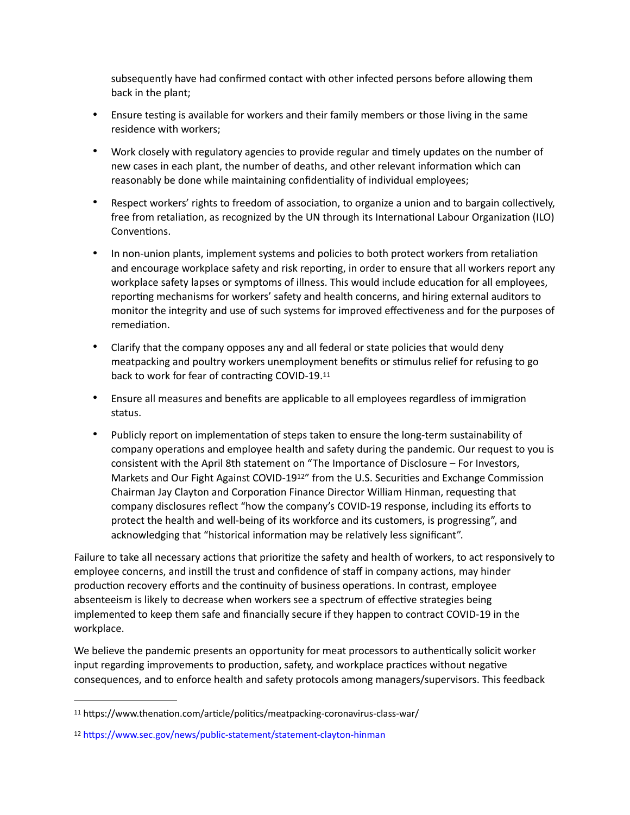subsequently have had confirmed contact with other infected persons before allowing them back in the plant;

- Ensure testing is available for workers and their family members or those living in the same residence with workers;
- Work closely with regulatory agencies to provide regular and timely updates on the number of new cases in each plant, the number of deaths, and other relevant information which can reasonably be done while maintaining confidentiality of individual employees;
- Respect workers' rights to freedom of association, to organize a union and to bargain collectively, free from retaliation, as recognized by the UN through its International Labour Organization (ILO) Conventions.
- In non-union plants, implement systems and policies to both protect workers from retaliation and encourage workplace safety and risk reporting, in order to ensure that all workers report any workplace safety lapses or symptoms of illness. This would include education for all employees, reporting mechanisms for workers' safety and health concerns, and hiring external auditors to monitor the integrity and use of such systems for improved effectiveness and for the purposes of remediation.
- Clarify that the company opposes any and all federal or state policies that would deny meatpacking and poultry workers unemployment benefits or stimulus relief for refusing to go back to work for fear of contracting COVID-19.[11](#page-2-0)
- <span id="page-2-2"></span>• Ensure all measures and benefits are applicable to all employees regardless of immigration status.
- <span id="page-2-3"></span>• Publicly report on implementation of steps taken to ensure the long-term sustainability of company operations and employee health and safety during the pandemic. Our request to you is consistent with the April 8th statement on "The Importance of Disclosure – For Investors, Markets and Our Fight Against COVID-19<sup>[12](#page-2-1)</sup>" from the U.S. Securities and Exchange Commission Chairman Jay Clayton and Corporation Finance Director William Hinman, requesting that company disclosures reflect "how the company's COVID-19 response, including its efforts to protect the health and well-being of its workforce and its customers, is progressing", and acknowledging that "historical information may be relatively less significant".

Failure to take all necessary actions that prioritize the safety and health of workers, to act responsively to employee concerns, and instill the trust and confidence of staff in company actions, may hinder production recovery efforts and the continuity of business operations. In contrast, employee absenteeism is likely to decrease when workers see a spectrum of effective strategies being implemented to keep them safe and financially secure if they happen to contract COVID-19 in the workplace.

We believe the pandemic presents an opportunity for meat processors to authentically solicit worker input regarding improvements to production, safety, and workplace practices without negative consequences, and to enforce health and safety protocols among managers/supervisors. This feedback

<span id="page-2-0"></span><sup>&</sup>lt;sup>[11](#page-2-2)</sup> https://www.thenation.com/article/politics/meatpacking-coronavirus-class-war/

<span id="page-2-1"></span>[<sup>12</sup>](#page-2-3) https://www.sec.gov/news/public-statement/statement-clayton-hinman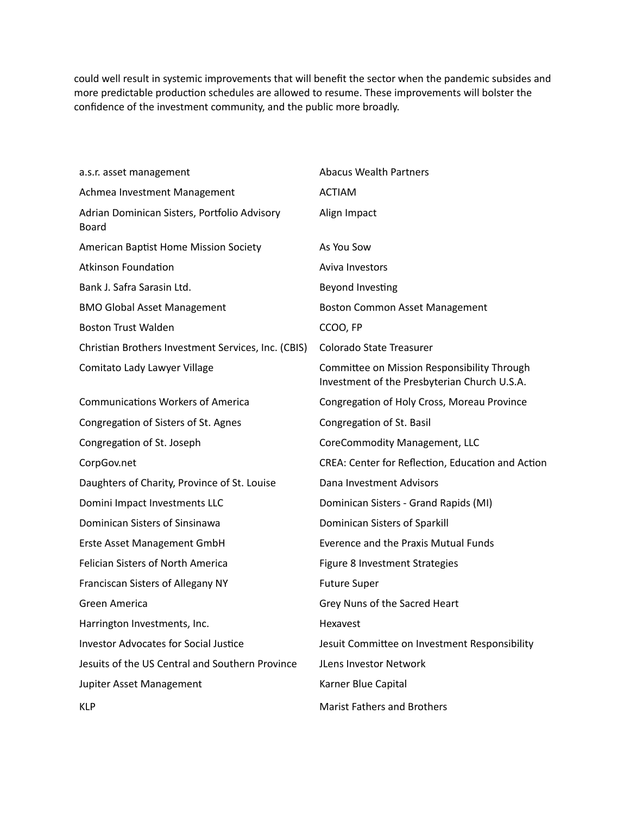could well result in systemic improvements that will benefit the sector when the pandemic subsides and more predictable production schedules are allowed to resume. These improvements will bolster the confidence of the investment community, and the public more broadly.

| a.s.r. asset management                                      | <b>Abacus Wealth Partners</b>                                                               |
|--------------------------------------------------------------|---------------------------------------------------------------------------------------------|
| Achmea Investment Management                                 | <b>ACTIAM</b>                                                                               |
| Adrian Dominican Sisters, Portfolio Advisory<br><b>Board</b> | Align Impact                                                                                |
| American Baptist Home Mission Society                        | As You Sow                                                                                  |
| <b>Atkinson Foundation</b>                                   | Aviva Investors                                                                             |
| Bank J. Safra Sarasin Ltd.                                   | Beyond Investing                                                                            |
| <b>BMO Global Asset Management</b>                           | <b>Boston Common Asset Management</b>                                                       |
| <b>Boston Trust Walden</b>                                   | CCOO, FP                                                                                    |
| Christian Brothers Investment Services, Inc. (CBIS)          | Colorado State Treasurer                                                                    |
| Comitato Lady Lawyer Village                                 | Committee on Mission Responsibility Through<br>Investment of the Presbyterian Church U.S.A. |
| <b>Communications Workers of America</b>                     | Congregation of Holy Cross, Moreau Province                                                 |
| Congregation of Sisters of St. Agnes                         | Congregation of St. Basil                                                                   |
| Congregation of St. Joseph                                   | CoreCommodity Management, LLC                                                               |
| CorpGov.net                                                  | CREA: Center for Reflection, Education and Action                                           |
| Daughters of Charity, Province of St. Louise                 | Dana Investment Advisors                                                                    |
| Domini Impact Investments LLC                                | Dominican Sisters - Grand Rapids (MI)                                                       |
| Dominican Sisters of Sinsinawa                               | Dominican Sisters of Sparkill                                                               |
| Erste Asset Management GmbH                                  | <b>Everence and the Praxis Mutual Funds</b>                                                 |
| Felician Sisters of North America                            | Figure 8 Investment Strategies                                                              |
| Franciscan Sisters of Allegany NY                            | <b>Future Super</b>                                                                         |
| Green America                                                | Grey Nuns of the Sacred Heart                                                               |
| Harrington Investments, Inc.                                 | Hexavest                                                                                    |
| <b>Investor Advocates for Social Justice</b>                 | Jesuit Committee on Investment Responsibility                                               |
| Jesuits of the US Central and Southern Province              | JLens Investor Network                                                                      |
| Jupiter Asset Management                                     | Karner Blue Capital                                                                         |
| <b>KLP</b>                                                   | <b>Marist Fathers and Brothers</b>                                                          |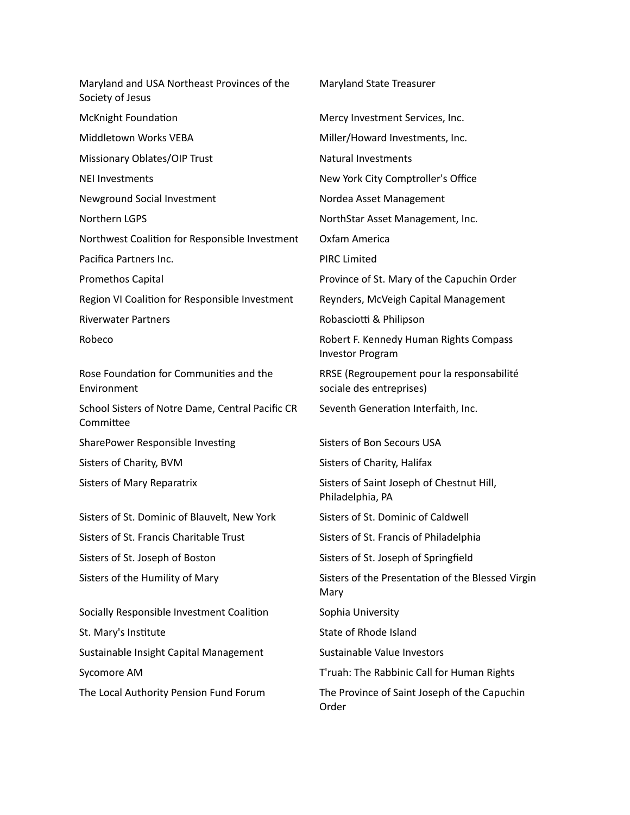Maryland and USA Northeast Provinces of the Society of Jesus Maryland State Treasurer McKnight Foundation Mercy Investment Services, Inc. Middletown Works VEBA Miller/Howard Investments, Inc. Missionary Oblates/OIP Trust Natural Investments NEI Investments New York City Comptroller's Office Newground Social Investment Nordea Asset Management Northern LGPS NorthStar Asset Management, Inc. Northwest Coalition for Responsible Investment Oxfam America Pacifica Partners Inc. **PIRC Limited** Promethos Capital Province of St. Mary of the Capuchin Order Region VI Coalition for Responsible Investment Reynders, McVeigh Capital Management Riverwater Partners **Riverwater Partners Robasciotti & Philipson** Robeco **Robeco Robert F. Kennedy Human Rights Compass** Robert F. Kennedy Human Rights Compass Investor Program Rose Foundation for Communities and the Environment RRSE (Regroupement pour la responsabilité sociale des entreprises) School Sisters of Notre Dame, Central Pacific CR Committee Seventh Generation Interfaith, Inc. SharePower Responsible Investing Sisters of Bon Secours USA Sisters of Charity, BVM Sisters of Charity, Halifax Sisters of Mary Reparatrix Sisters of Saint Joseph of Chestnut Hill, Philadelphia, PA Sisters of St. Dominic of Blauvelt, New York Sisters of St. Dominic of Caldwell Sisters of St. Francis Charitable Trust Sisters of St. Francis of Philadelphia Sisters of St. Joseph of Boston Sisters of St. Joseph of Springfield Sisters of the Humility of Mary Sisters of the Presentation of the Blessed Virgin Mary Socially Responsible Investment Coalition Sophia University St. Mary's Institute St. Mary's Institute State of Rhode Island Sustainable Insight Capital Management Sustainable Value Investors Sycomore AM T'ruah: The Rabbinic Call for Human Rights The Local Authority Pension Fund Forum The Province of Saint Joseph of the Capuchin

Order